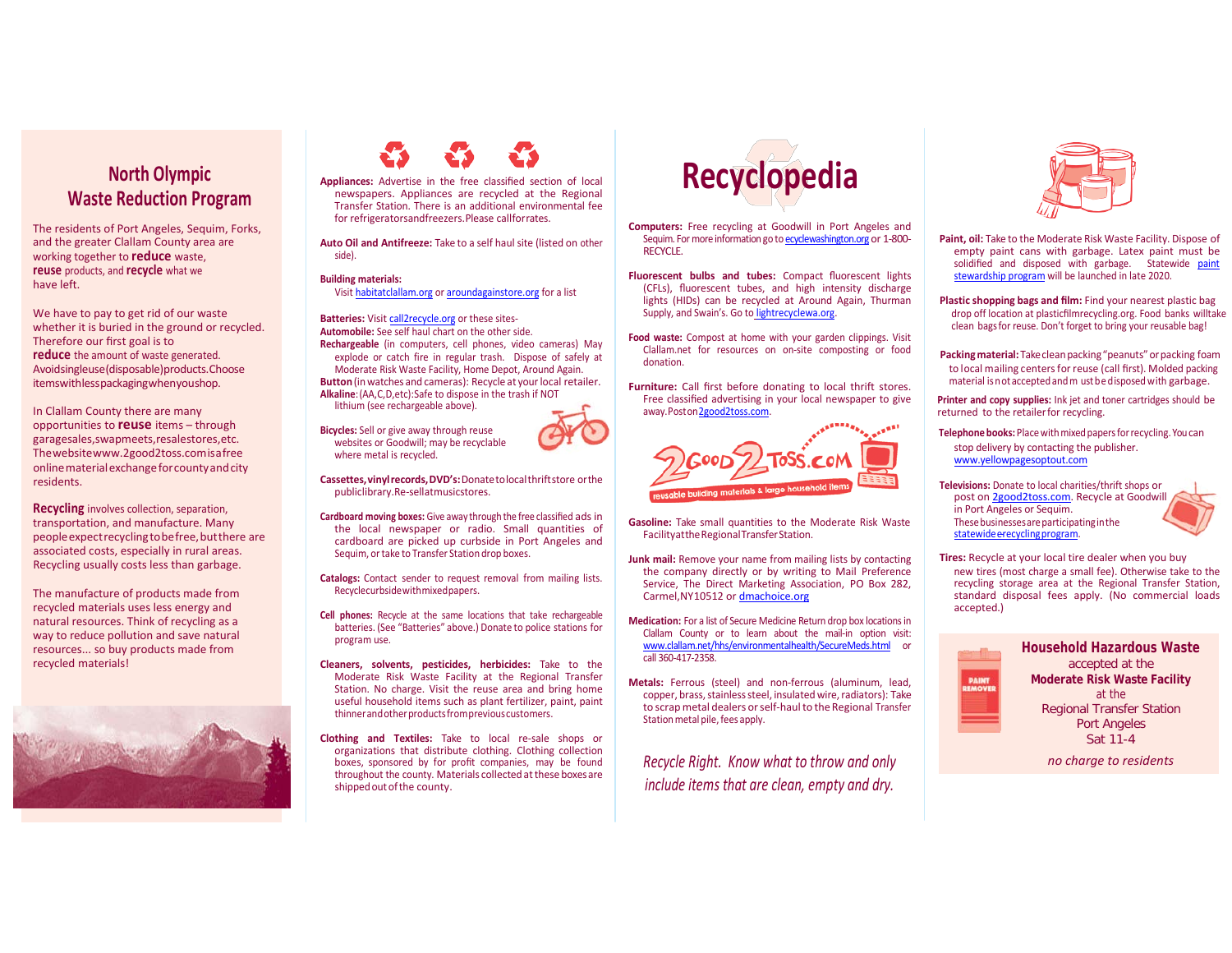## **North Olympic Waste Reduction Program**

The residents of Port Angeles, Sequim, Forks, and the greater Clallam County area are working together to **reduce** waste, **reuse** products, and **recycle** what we have left.

We have to pay to get rid of our waste whether it is buried in the ground or recycled. Therefore our first goal is to **reduce** the amount of waste generated. Avoidsingleuse(disposable)products.Choose itemswithlesspackagingwhenyoushop.

In Clallam County there are many opportunities to **reuse** items – through garagesales,swapmeets,resalestores,etc. Thewebsit[ewww.2good2toss.comi](http://www.2good2toss.com/)s a free onlinematerialexchangeforcountyandcity residents.

**Recycling** involves collection, separation, transportation, and manufacture. Many peopleexpectrecyclingtobefree,butthere are associated costs, especially in rural areas. Recycling usually costs less than garbage.

The manufacture of products made from recycled materials uses less energy and natural resources. Think of recycling as a way to reduce pollution and save natural resources... so buy products made from recycled materials!





**Appliances:** Advertise in the free classified section of local newspapers. Appliances are recycled at the Regional Transfer Station. There is an additional environmental fee for refrigeratorsandfreezers.Please callforrates.

**Auto Oil and Antifreeze:** Take to a self haul site (listed on other side).

#### **Building materials:**

Visit [habitatclallam.org](http://www.habitatclallam.org/) or [aroundagainstore.org](http://www.aroundagainstore.org/) for a list

**Batteries:** Visit [call2recycle.org](http://www.call2recycle.org/) or these sites-**Automobile:** See self haul chart on the other side.

**Rechargeable** (in computers, cell phones, video cameras) May explode or catch fire in regular trash. Dispose of safely at Moderate Risk Waste Facility, Home Depot, Around Again. **Button**(inwatches and cameras): Recycle at yourlocal retailer. **Alkaline**:(AA,C, D,etc):Safe to dispose in the trash if NOT lithium (see rechargeable above).

**Bicycles:** Sell or give away through reuse websites or Goodwill; may be recyclable where metal is recycled.



- **Cardboard moving boxes:** Give away through the free classified ads in the local newspaper or radio. Small quantities of cardboard are picked up curbside in Port Angeles and Sequim, ortake to Transfer Station drop boxes.
- **Catalogs:** Contact sender to request removal from mailing lists. Recyclecurbsidewithmixedpapers.
- **Cell phones:** Recycle at the same locations that take rechargeable batteries. (See "Batteries" above.) Donate to police stations for program use.
- **Cleaners, solvents, pesticides, herbicides:** Take to the Moderate Risk Waste Facility at the Regional Transfer Station. No charge. Visit the reuse area and bring home useful household items such as plant fertilizer, paint, paint thinner and other products from previous customers.
- **Clothing and Textiles:** Take to local re-sale shops or organizations that distribute clothing. Clothing collection boxes, sponsored by for profit companies, may be found throughout the county. Materials collected at these boxes are shipped out of the county.



- **Computers:** Free recycling at Goodwill in Port Angeles and Sequim. For more information go to [ecyclewashington.org](http://www.ecyclewashington.org/) or 1-800-RECYCLE.
- **Fluorescent bulbs and tubes:** Compact fluorescent lights (CFLs), fluorescent tubes, and high intensity discharge lights (HIDs) can be recycled at Around Again, Thurman Supply, and Swain's. Go to [lightrecyclewa.org.](http://www.lightrecyclewa.org/)
- **Food waste:** Compost at home with your garden clippings. Visit Clallam.net for resources on on-site composting or food donation.
- **Furniture:** Call first before donating to local thrift stores. Free classified advertising in your local newspaper to give away.Posto[n2good2toss.com.](http://www.2good2toss.com/)



- **Gasoline:** Take small quantities to the Moderate Risk Waste Facilityat the Regional Transfer Station.
- **Junk mail:** Remove your name from mailing lists by contacting the company directly or by writing to Mail Preference Service, The Direct Marketing Association, PO Box 282, Carmel,NY10512 o[r dmachoice.org](http://www.dmachoice.thedma.org/)
- **Medication:** For a list of Secure Medicine Return drop box locations in Clallam County or to learn about the mail-in option visit: [www.clallam.net/hhs/environmentalhealth/SecureMeds.html](http://www.clallam.net/hhs/environmentalhealth/SecureMeds.html) or call 360-417-2358.
- **Metals:** Ferrous (steel) and non-ferrous (aluminum, lead, copper, brass, stainless steel, insulated wire, radiators): Take to scrap metal dealers or self-haul to the Regional Transfer Station metal pile, fees apply.

*Recycle Right. Know what to throw and only include items that are clean, empty and dry.*



- **Paint, oil:** Take to the Moderate Risk Waste Facility. Dispose of empty paint cans with garbage. Latex paint must be solidified and disposed with garbage. Statewide [paint](https://ecology.wa.gov/Waste-Toxics/Reducing-recycling-waste/Enacting-legislation)  [stewardship program](https://ecology.wa.gov/Waste-Toxics/Reducing-recycling-waste/Enacting-legislation) will be launched in late 2020.
- **Plastic shopping bags and film:** Find your nearest plastic bag drop off location at plasticfilmrecycling.org. Food banks will take clean bags for reuse. Don't forget to bring your reusable bag!
- Packing material: Take clean packing "peanuts" or packing foam to local mailing centers for reuse (call first). Molded packing material is not accepted and m ust be disposed with garbage.

**Printer and copy supplies:** Ink jet and toner cartridges should be returned to the retailer for recycling.

- **Telephone books: Place with mixed papers for recycling. You can** stop delivery by contacting the publisher. [www.yellowpagesoptout.com](http://www.yellowpagesoptout.com/)
- **Televisions:** Donate to local charities/thrift shops or post o[n 2good2toss.com.](http://www.2good2toss.com/) Recycle at Goodwill in Port Angeles or Sequim.



**Tires:** Recycle at your local tire dealer when you buy new tires (most charge a small fee). Otherwise take to the recycling storage area at the Regional Transfer Station, standard disposal fees apply. (No commercial loads accepted.)



*no charge to residents*